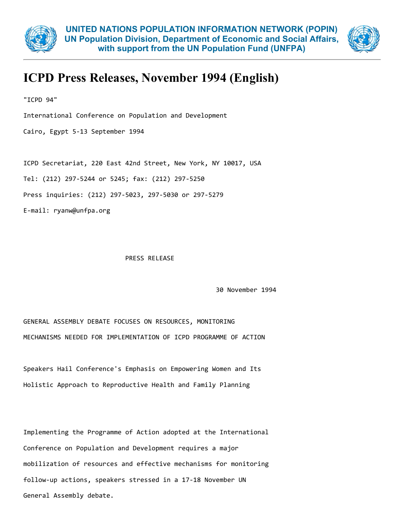



## ICPD Press Releases, November 1994 (English)

"ICPD 94"

International Conference on Population and Development

Cairo, Egypt 5‐13 September 1994

ICPD Secretariat, 220 East 42nd Street, New York, NY 10017, USA

Tel: (212) 297‐5244 or 5245; fax: (212) 297‐5250

Press inquiries: (212) 297‐5023, 297‐5030 or 297‐5279

E‐mail: ryanw@unfpa.org

## PRESS RELEASE

30 November 1994

GENERAL ASSEMBLY DEBATE FOCUSES ON RESOURCES, MONITORING MECHANISMS NEEDED FOR IMPLEMENTATION OF ICPD PROGRAMME OF ACTION

Speakers Hail Conference's Emphasis on Empowering Women and Its Holistic Approach to Reproductive Health and Family Planning

Implementing the Programme of Action adopted at the International Conference on Population and Development requires a major mobilization of resources and effective mechanisms for monitoring follow‐up actions, speakers stressed in a 17‐18 November UN General Assembly debate.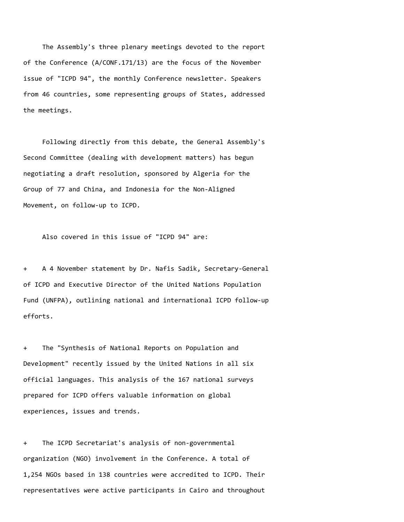The Assembly's three plenary meetings devoted to the report of the Conference (A/CONF.171/13) are the focus of the November issue of "ICPD 94", the monthly Conference newsletter. Speakers from 46 countries, some representing groups of States, addressed the meetings.

Following directly from this debate, the General Assembly's Second Committee (dealing with development matters) has begun negotiating a draft resolution, sponsored by Algeria for the Group of 77 and China, and Indonesia for the Non‐Aligned Movement, on follow‐up to ICPD.

Also covered in this issue of "ICPD 94" are:

+ A 4 November statement by Dr. Nafis Sadik, Secretary‐General of ICPD and Executive Director of the United Nations Population Fund (UNFPA), outlining national and international ICPD follow‐up efforts.

+ The "Synthesis of National Reports on Population and Development" recently issued by the United Nations in all six official languages. This analysis of the 167 national surveys prepared for ICPD offers valuable information on global experiences, issues and trends.

+ The ICPD Secretariat's analysis of non‐governmental organization (NGO) involvement in the Conference. A total of 1,254 NGOs based in 138 countries were accredited to ICPD. Their representatives were active participants in Cairo and throughout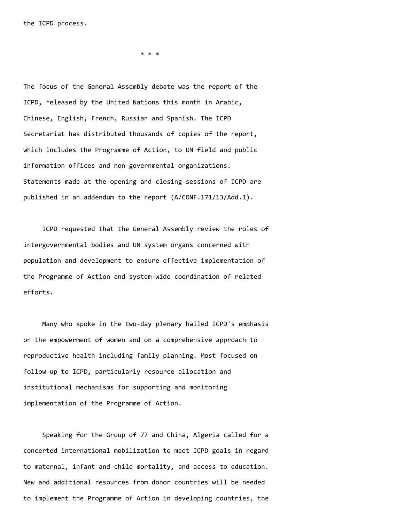the ICPD process.

\* \* \*

The focus of the General Assembly debate was the report of the ICPD, released by the United Nations this month in Arabic, Chinese, English, French, Russian and Spanish. The ICPD Secretariat has distributed thousands of copies of the report, which includes the Programme of Action, to UN field and public information offices and non‐governmental organizations. Statements made at the opening and closing sessions of ICPD are published in an addendum to the report (A/CONF.171/13/Add.1).

ICPD requested that the General Assembly review the roles of intergovernmental bodies and UN system organs concerned with population and development to ensure effective implementation of the Programme of Action and system-wide coordination of related efforts.

Many who spoke in the two-day plenary hailed ICPD's emphasis on the empowerment of women and on a comprehensive approach to reproductive health including family planning. Most focused on follow‐up to ICPD, particularly resource allocation and institutional mechanisms for supporting and monitoring implementation of the Programme of Action.

Speaking for the Group of 77 and China, Algeria called for a concerted international mobilization to meet ICPD goals in regard to maternal, infant and child mortality, and access to education. New and additional resources from donor countries will be needed to implement the Programme of Action in developing countries, the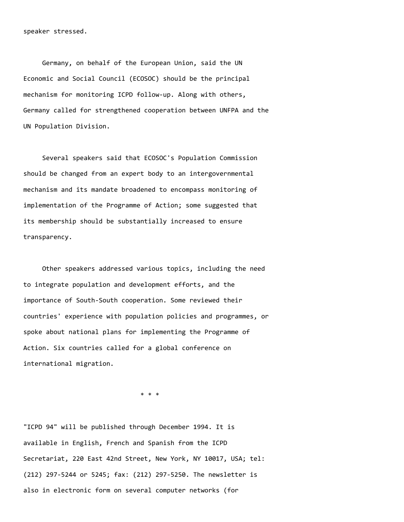Germany, on behalf of the European Union, said the UN Economic and Social Council (ECOSOC) should be the principal mechanism for monitoring ICPD follow‐up. Along with others, Germany called for strengthened cooperation between UNFPA and the UN Population Division.

Several speakers said that ECOSOC's Population Commission should be changed from an expert body to an intergovernmental mechanism and its mandate broadened to encompass monitoring of implementation of the Programme of Action; some suggested that its membership should be substantially increased to ensure transparency.

Other speakers addressed various topics, including the need to integrate population and development efforts, and the importance of South‐South cooperation. Some reviewed their countries' experience with population policies and programmes, or spoke about national plans for implementing the Programme of Action. Six countries called for a global conference on international migration.

\* \* \*

"ICPD 94" will be published through December 1994. It is available in English, French and Spanish from the ICPD Secretariat, 220 East 42nd Street, New York, NY 10017, USA; tel: (212) 297‐5244 or 5245; fax: (212) 297‐5250. The newsletter is also in electronic form on several computer networks (for